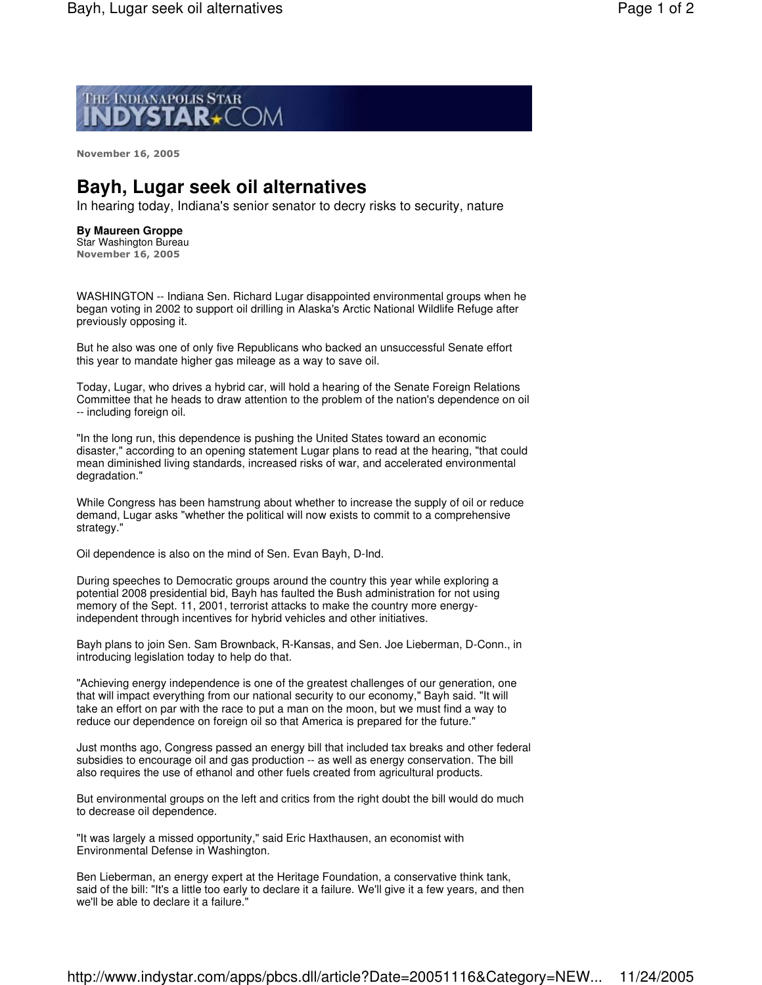

**November 16, 2005** 

## **Bayh, Lugar seek oil alternatives**

In hearing today, Indiana's senior senator to decry risks to security, nature

## **By Maureen Groppe**

Star Washington Bureau **November 16, 2005** 

WASHINGTON -- Indiana Sen. Richard Lugar disappointed environmental groups when he began voting in 2002 to support oil drilling in Alaska's Arctic National Wildlife Refuge after previously opposing it.

But he also was one of only five Republicans who backed an unsuccessful Senate effort this year to mandate higher gas mileage as a way to save oil.

Today, Lugar, who drives a hybrid car, will hold a hearing of the Senate Foreign Relations Committee that he heads to draw attention to the problem of the nation's dependence on oil -- including foreign oil.

"In the long run, this dependence is pushing the United States toward an economic disaster," according to an opening statement Lugar plans to read at the hearing, "that could mean diminished living standards, increased risks of war, and accelerated environmental degradation."

While Congress has been hamstrung about whether to increase the supply of oil or reduce demand, Lugar asks "whether the political will now exists to commit to a comprehensive strategy."

Oil dependence is also on the mind of Sen. Evan Bayh, D-Ind.

During speeches to Democratic groups around the country this year while exploring a potential 2008 presidential bid, Bayh has faulted the Bush administration for not using memory of the Sept. 11, 2001, terrorist attacks to make the country more energyindependent through incentives for hybrid vehicles and other initiatives.

Bayh plans to join Sen. Sam Brownback, R-Kansas, and Sen. Joe Lieberman, D-Conn., in introducing legislation today to help do that.

"Achieving energy independence is one of the greatest challenges of our generation, one that will impact everything from our national security to our economy," Bayh said. "It will take an effort on par with the race to put a man on the moon, but we must find a way to reduce our dependence on foreign oil so that America is prepared for the future."

Just months ago, Congress passed an energy bill that included tax breaks and other federal subsidies to encourage oil and gas production -- as well as energy conservation. The bill also requires the use of ethanol and other fuels created from agricultural products.

But environmental groups on the left and critics from the right doubt the bill would do much to decrease oil dependence.

"It was largely a missed opportunity," said Eric Haxthausen, an economist with Environmental Defense in Washington.

Ben Lieberman, an energy expert at the Heritage Foundation, a conservative think tank, said of the bill: "It's a little too early to declare it a failure. We'll give it a few years, and then we'll be able to declare it a failure."